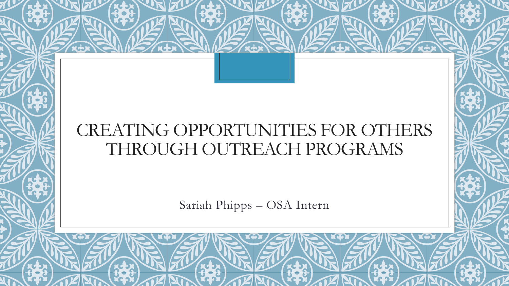### CREATING OPPORTUNITIES FOR OTHERS THROUGH OUTREACH PROGRAMS

Sariah Phipps – OSA Intern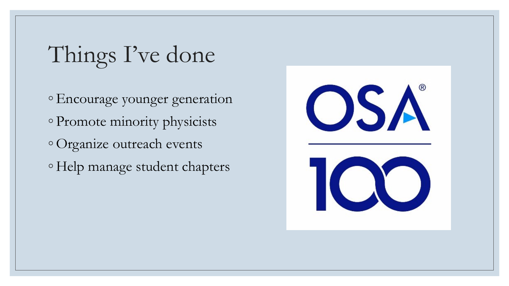## Things I've done

◦Encourage younger generation ◦ Promote minority physicists ◦ Organize outreach events ◦ Help manage student chapters

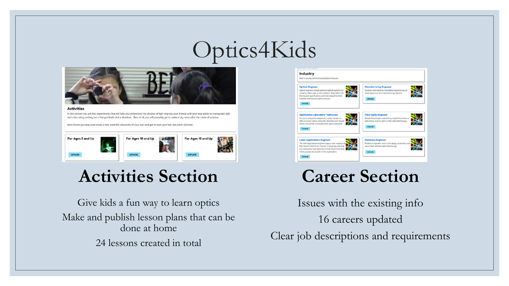## Optics4Kids



#### **Activities**

In this section you will find experiments that will help you understand the physics of light impress your friends with your new ability to manipulate light and color using nothing but a few gumballs and a shoebox. Best of all, you will probably get to make a big mess all in the name of science.

Who knows you may even make a new scientific discovery of your own and get to wear your hair like Albert Einstein



#### **Activities Section**

Give kids a fun way to learn optics Make and publish lesson plans that can be done at home 24 lessons created in total



### **Career Section**

Issues with the existing info 16 careers updated Clear job descriptions and requirements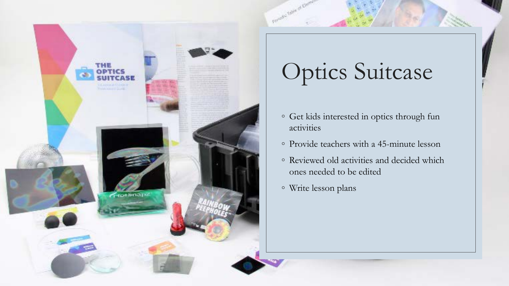

# Optics Suitcase

- Get kids interested in optics through fun activities
- Provide teachers with a 45-minute lesson
- Reviewed old activities and decided which ones needed to be edited
- Write lesson plans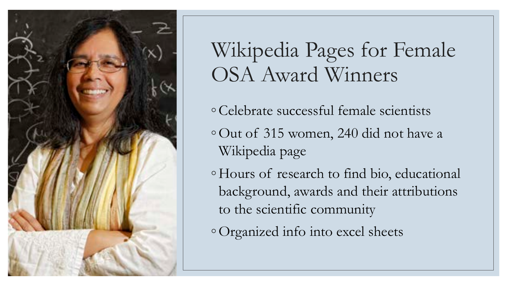

## Wikipedia Pages for Female OSA Award Winners

- Celebrate successful female scientists
- Out of 315 women, 240 did not have a Wikipedia page
- Hours of research to find bio, educational background, awards and their attributions to the scientific community
- Organized info into excel sheets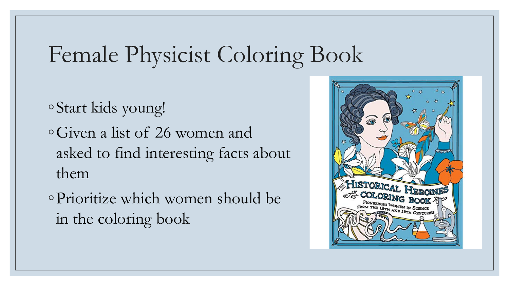## Female Physicist Coloring Book

◦Start kids young! ◦Given a list of 26 women and asked to find interesting facts about them

◦Prioritize which women should be in the coloring book

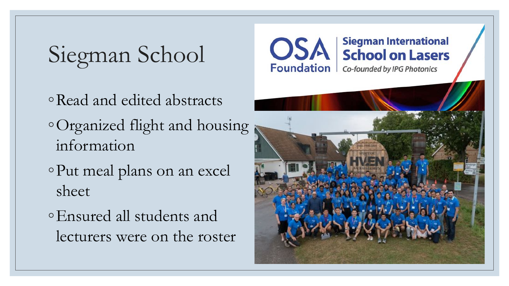Siegman School

- ◦Read and edited abstracts ◦Organized flight and housing information
- ◦Put meal plans on an excel sheet
- ◦Ensured all students and lecturers were on the roster



**Siegman International** 

**OSA** Siegman International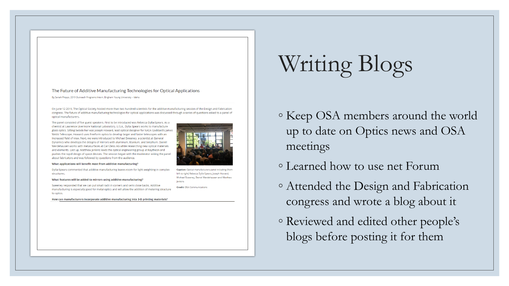#### The Future of Additive Manufacturing Technologies for Optical Applications

By Sariah Phipps, 2019 Outreach Programs Intern, Brigham Young University - Idaho

On June 12 2019, The Optical Society hosted more than two hundred scientists for the additive manufacturing session of the Design and Fabrication congress. The future of additive manufacturing technologies for optical applications was discussed through a series of questions asked to a panel of optical manufacturers.

The panel consisted of five guest speakers. First to be introduced was Rebecca Dylla-Spears. As a chemist at Lawrence Livermore National Laboratory, U.S.A., Dylla-Spears works to manufacture glass optics. Sitting beside her was Joseph Howard, lead optical designer for NASA Goddard's James Webb Telescope. Howard uses freeform optics to develop larger and faster telescopes with an increased field of view. Next, we were introduced to Michael Sweeney, a scientist at General Dynamics who develops the designs of mirrors with aluminum, titanium, and beryllium. Daniel Werdehausen works with metasurfaces at Carl Zeiss AG while researching new optical materials and elements. Last up, Matthew Jenkins leads the optical engineering group at Raytheon and pushes the rapid design of space devices. The session began with the moderator asking the panel about fabricators and was followed by questions from the audience.

#### What applications will benefit most from additive manufacturing?

Dylla-Spears commented that additive manufacturing leaves room for light weighting in complex structures.

What features will be added to mirrors using additive manufacturing?

Sweeney responded that we can put small radii in corners and semi-close backs. Additive manufacturing is especially good for metal optics and will allow the addition of metering structure to optics

How can manufacturers incorporate additive manufacturing into 3-D printing materials?

# Writing Blogs

- Keep OSA members around the world up to date on Optics news and OSA meetings
- Learned how to use net Forum
- Attended the Design and Fabrication congress and wrote a blog about it
- Reviewed and edited other people's blogs before posting it for them



**Credit: OSA Communications**